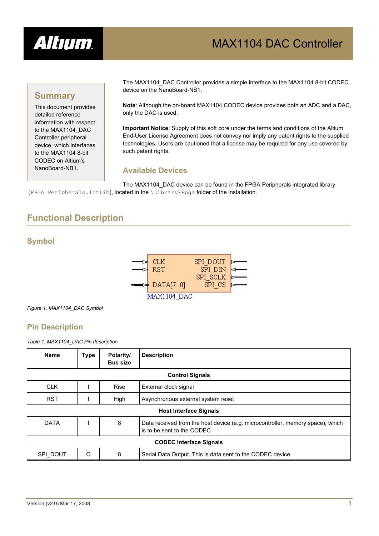

# MAX1104 DAC Controller

### **Summary**

This document provides detailed reference information with respect to the MAX1104\_DAC Controller peripheral device, which interfaces to the MAX1104 8-bit CODEC on Altium's NanoBoard-NB1.

The MAX1104\_DAC Controller provides a simple interface to the MAX1104 8-bit CODEC device on the NanoBoard-NB1.

**Note**: Although the on-board MAX1104 CODEC device provides both an ADC and a DAC, only the DAC is used.

**Important Notice**: Supply of this soft core under the terms and conditions of the Altium End-User License Agreement does not convey nor imply any patent rights to the supplied technologies. Users are cautioned that a license may be required for any use covered by such patent rights.

### **Available Devices**

The MAX1104 DAC device can be found in the FPGA Peripherals integrated library (FPGA Peripherals.IntLib), located in the \Library\Fpga folder of the installation.

# **Functional Description**

### **Symbol**



*Figure 1. MAX1104\_DAC Symbol* 

### **Pin Description**

*Table 1. MAX1104\_DAC Pin description* 

| <b>Name</b>                    | <b>Type</b> | Polarity/<br><b>Bus size</b> | <b>Description</b>                                                                                           |  |
|--------------------------------|-------------|------------------------------|--------------------------------------------------------------------------------------------------------------|--|
| <b>Control Signals</b>         |             |                              |                                                                                                              |  |
| <b>CLK</b>                     |             | <b>Rise</b>                  | External clock signal                                                                                        |  |
| <b>RST</b>                     |             | High                         | Asynchronous external system reset                                                                           |  |
| <b>Host Interface Signals</b>  |             |                              |                                                                                                              |  |
| <b>DATA</b>                    |             | 8                            | Data received from the host device (e.g. microcontroller, memory space), which<br>is to be sent to the CODEC |  |
| <b>CODEC Interface Signals</b> |             |                              |                                                                                                              |  |
| SPI DOUT                       | O           | 8                            | Serial Data Output. This is data sent to the CODEC device.                                                   |  |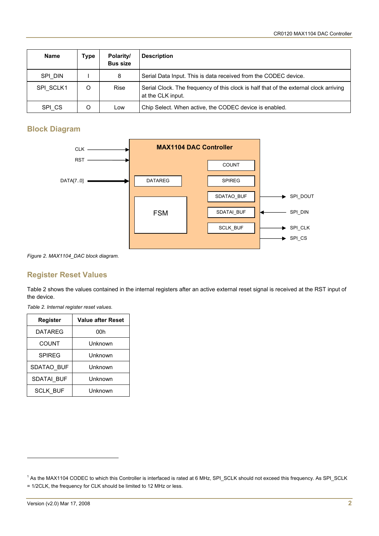| <b>Name</b> | <b>Type</b> | Polarity/<br><b>Bus size</b> | <b>Description</b>                                                                                         |
|-------------|-------------|------------------------------|------------------------------------------------------------------------------------------------------------|
| SPI DIN     |             | 8                            | Serial Data Input. This is data received from the CODEC device.                                            |
| SPI SCLK1   | Ω           | Rise                         | Serial Clock. The frequency of this clock is half that of the external clock arriving<br>at the CLK input. |
| SPI CS      | O           | Low                          | Chip Select. When active, the CODEC device is enabled.                                                     |

### **Block Diagram**



*Figure 2. MAX1104\_DAC block diagram.* 

### **Register Reset Values**

Table 2 shows the values contained in the internal registers after an active external reset signal is received at the RST input of the device.

*Table 2. Internal register reset values.* 

| Register        | <b>Value after Reset</b> |  |
|-----------------|--------------------------|--|
| <b>DATAREG</b>  | 00h                      |  |
| <b>COUNT</b>    | Unknown                  |  |
| <b>SPIREG</b>   | Unknown                  |  |
| SDATAO BUF      | Unknown                  |  |
| SDATAI BUF      | Unknown                  |  |
| <b>SCLK BUF</b> | Unknown                  |  |

l

<span id="page-1-0"></span><sup>&</sup>lt;sup>1</sup> As the MAX1104 CODEC to which this Controller is interfaced is rated at 6 MHz, SPI\_SCLK should not exceed this frequency. As SPI\_SCLK = 1/2CLK, the frequency for CLK should be limited to 12 MHz or less.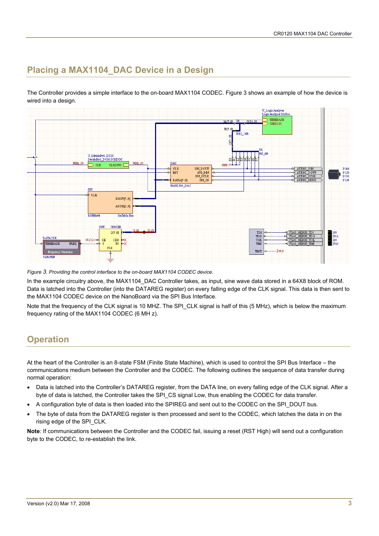# **Placing a MAX1104\_DAC Device in a Design**

The Controller provides a simple interface to the on-board MAX1104 CODEC. [Figure 3](#page-2-0) shows an example of how the device is wired into a design.



<span id="page-2-0"></span>*Figure 3. Providing the control interface to the on-board MAX1104 CODEC device*.

In the example circuitry above, the MAX1104\_DAC Controller takes, as input, sine wave data stored in a 64X8 block of ROM. Data is latched into the Controller (into the DATAREG register) on every falling edge of the CLK signal. This data is then sent to the MAX1104 CODEC device on the NanoBoard via the SPI Bus Interface.

Note that the frequency of the CLK signal is 10 MHZ. The SPI\_CLK signal is half of this (5 MHz), which is below the maximum frequency rating of the MAX1104 CODEC (6 MH z).

# **Operation**

At the heart of the Controller is an 8-state FSM (Finite State Machine), which is used to control the SPI Bus Interface – the communications medium between the Controller and the CODEC. The following outlines the sequence of data transfer during normal operation:

- Data is latched into the Controller's DATAREG register, from the DATA line, on every falling edge of the CLK signal. After a byte of data is latched, the Controller takes the SPI\_CS signal Low, thus enabling the CODEC for data transfer.
- A configuration byte of data is then loaded into the SPIREG and sent out to the CODEC on the SPI\_DOUT bus.
- The byte of data from the DATAREG register is then processed and sent to the CODEC, which latches the data in on the rising edge of the SPI\_CLK.

**Note**: If communications between the Controller and the CODEC fail, issuing a reset (RST High) will send out a configuration byte to the CODEC, to re-establish the link.